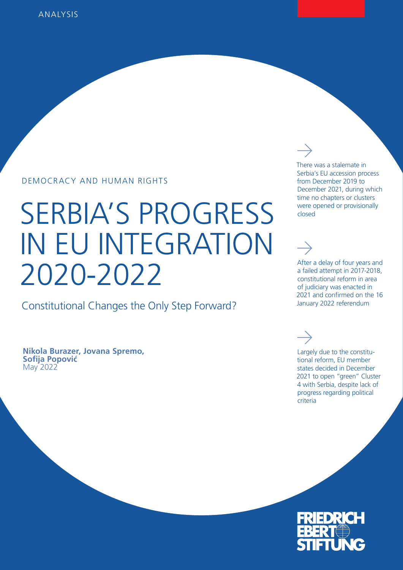#### DEMOCRACY AND HUMAN RIGHTS

# SERBIA'S PROGRESS IN EU INTEGRATION 2020-2022

Constitutional Changes the Only Step Forward?

**Nikola Burazer, Jovana Spremo, Sofija Popović** May 2022

There was a stalemate in Serbia's EU accession process from December 2019 to December 2021, during which time no chapters or clusters were opened or provisionally closed

#### After a delay of four years and a failed attempt in 2017-2018, constitutional reform in area of judiciary was enacted in 2021 and confirmed on the 16 January 2022 referendum

Largely due to the constitutional reform, EU member states decided in December 2021 to open "green" Cluster 4 with Serbia, despite lack of progress regarding political criteria

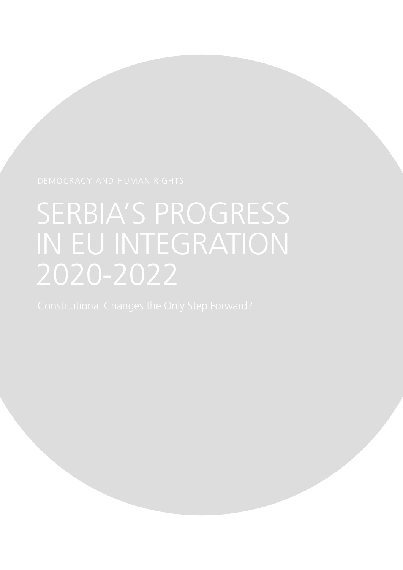# IN EU INTEGRATION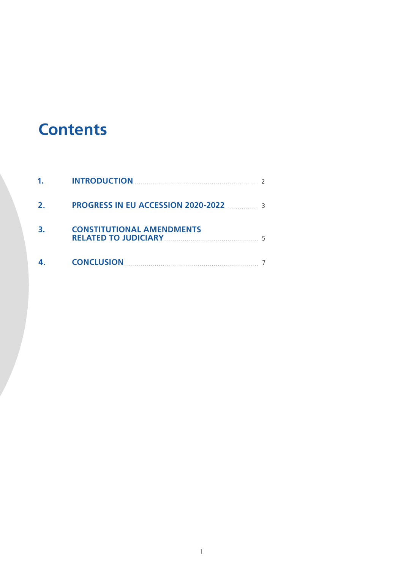## **Contents**

| <b>PROGRESS IN EU ACCESSION 2020-2022</b> |  |
|-------------------------------------------|--|
| <b>CONSTITUTIONAL AMENDMENTS</b>          |  |
| CONCLUSION <b>CONCLUSION</b>              |  |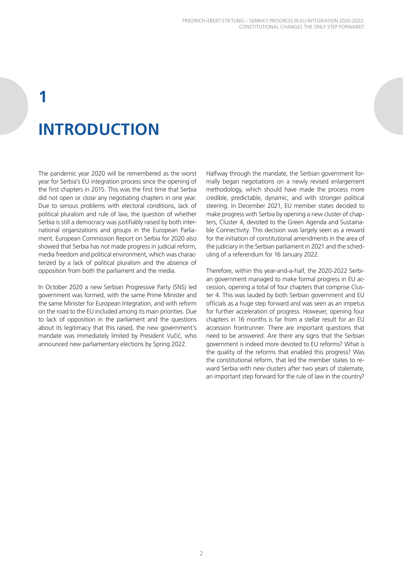# **1 INTRODUCTION**

The pandemic year 2020 will be remembered as the worst year for Serbia's EU integration process since the opening of the first chapters in 2015. This was the first time that Serbia did not open or close any negotiating chapters in one year. Due to serious problems with electoral conditions, lack of political pluralism and rule of law, the question of whether Serbia is still a democracy was justifiably raised by both international organizations and groups in the European Parliament. European Commission Report on Serbia for 2020 also showed that Serbia has not made progress in judicial reform, media freedom and political environment, which was characterized by a lack of political pluralism and the absence of opposition from both the parliament and the media.

In October 2020 a new Serbian Progressive Party (SNS) led government was formed, with the same Prime Minister and the same Minister for European Integration, and with reform on the road to the EU included among its main priorities. Due to lack of opposition in the parliament and the questions about its legitimacy that this raised, the new government's mandate was immediately limited by President Vučić, who announced new parliamentary elections by Spring 2022.

Halfway through the mandate, the Serbian government formally began negotiations on a newly revised enlargement methodology, which should have made the process more credible, predictable, dynamic, and with stronger political steering. In December 2021, EU member states decided to make progress with Serbia by opening a new cluster of chapters, Cluster 4, devoted to the Green Agenda and Sustainable Connectivity. This decision was largely seen as a reward for the initiation of constitutional amendments in the area of the judiciary in the Serbian parliament in 2021 and the scheduling of a referendum for 16 January 2022.

Therefore, within this year-and-a-half, the 2020-2022 Serbian government managed to make formal progress in EU accession, opening a total of four chapters that comprise Cluster 4. This was lauded by both Serbian government and EU officials as a huge step forward and was seen as an impetus for further acceleration of progress. However, opening four chapters in 16 months is far from a stellar result for an EU accession frontrunner. There are important questions that need to be answered. Are there any signs that the Serbian government is indeed more devoted to EU reforms? What is the quality of the reforms that enabled this progress? Was the constitutional reform, that led the member states to reward Serbia with new clusters after two years of stalemate, an important step forward for the rule of law in the country?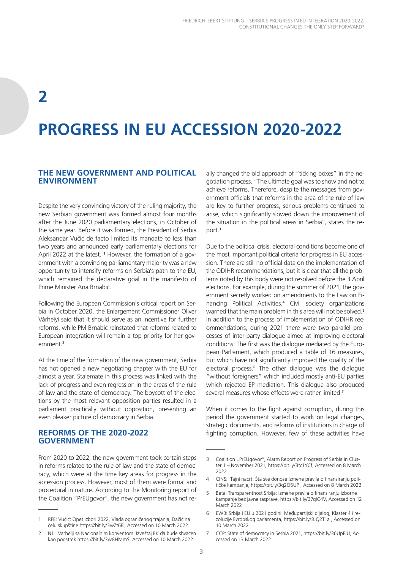# **2 PROGRESS IN EU ACCESSION 2020-2022**

#### **THE NEW GOVERNMENT AND POLITICAL ENVIRONMENT**

Despite the very convincing victory of the ruling majority, the new Serbian government was formed almost four months after the June 2020 parliamentary elections, in October of the same year. Before it was formed, the President of Serbia Aleksandar Vučić de facto limited its mandate to less than two years and announced early parliamentary elections for April 2022 at the latest. **<sup>1</sup>** However, the formation of a government with a convincing parliamentary majority was a new opportunity to intensify reforms on Serbia's path to the EU, which remained the declarative goal in the manifesto of Prime Minister Ana Brnabić.

Following the European Commission's critical report on Serbia in October 2020, the Enlargement Commissioner Oliver Várhelyi said that it should serve as an incentive for further reforms, while PM Brnabić reinstated that reforms related to European integration will remain a top priority for her government.**<sup>2</sup>**

At the time of the formation of the new government, Serbia has not opened a new negotiating chapter with the EU for almost a year. Stalemate in this process was linked with the lack of progress and even regression in the areas of the rule of law and the state of democracy. The boycott of the elections by the most relevant opposition parties resulted in a parliament practically without opposition, presenting an even bleaker picture of democracy in Serbia.

#### **REFORMS OF THE 2020-2022 GOVERNMENT**

From 2020 to 2022, the new government took certain steps in reforms related to the rule of law and the state of democracy, which were at the time key areas for progress in the accession process. However, most of them were formal and procedural in nature. According to the Monitoring report of the Coalition "PrEUgovor", the new government has not re-

ally changed the old approach of "ticking boxes" in the negotiation process. "The ultimate goal was to show and not to achieve reforms. Therefore, despite the messages from government officials that reforms in the area of the rule of law are key to further progress, serious problems continued to arise, which significantly slowed down the improvement of the situation in the political areas in Serbia", states the report.**<sup>3</sup>**

Due to the political crisis, electoral conditions become one of the most important political criteria for progress in EU accession. There are still no official data on the implementation of the ODIHR recommendations, but it is clear that all the problems noted by this body were not resolved before the 3 April elections. For example, during the summer of 2021, the government secretly worked on amendments to the Law on Financing Political Activities.**<sup>4</sup>** Civil society organizations warned that the main problem in this area will not be solved.**<sup>5</sup>** In addition to the process of implementation of ODIHR recommendations, during 2021 there were two parallel processes of inter-party dialogue aimed at improving electoral conditions. The first was the dialogue mediated by the European Parliament, which produced a table of 16 measures, but which have not significantly improved the quality of the electoral process.**<sup>6</sup>** The other dialogue was the dialogue "without foreigners" which included mostly anti-EU parties which rejected EP mediation. This dialogue also produced several measures whose effects were rather limited.**<sup>7</sup>**

When it comes to the fight against corruption, during this period the government started to work on legal changes, strategic documents, and reforms of institutions in charge of fighting corruption. However, few of these activities have

<sup>1</sup> RFE: Vučić: Opet izbori 2022, Vlada ograničenog trajanja, Dačić na čelu skupštine https://bit.ly/3w7t6El, Accessed on 10 March 2022

<sup>2</sup> N1 : Varhelji sa Nacionalnim konventom: Izveštaj EK da bude shvaćen kao podstrek https://bit.ly/3w8HMmS, Accessed on 10 March 2022

<sup>3</sup> Coalition "PrEUgovor", Alarm Report on Progress of Serbia in Cluster 1 – November 2021, https://bit.ly/3tc1YCf, Accessed on 8 March 2022

<sup>4</sup> CINS: Tajni nacrt: Šta sve donose izmene pravila o finansiranju političke kampanje, https://bit.ly/3q2O5UP , Accessed on 8 March 2022

<sup>5</sup> Beta: Transparentnost Srbija: Izmene pravila o finansiranju izborne kampanje bez javne rasprave, https://bit.ly/37qlC4V, Accessed on 12 March 2022

<sup>6</sup> EWB: Srbija i EU u 2021 godini: Međupartijski dijalog, Klaster 4 i rezolucije Evropskog parlamenta, https://bit.ly/3JQ2T1a , Accessed on 10 March 2022

<sup>7</sup> CCP: State of democracy in Serbia 2021, https://bit.ly/36UpElU, Accessed on 13 March 2022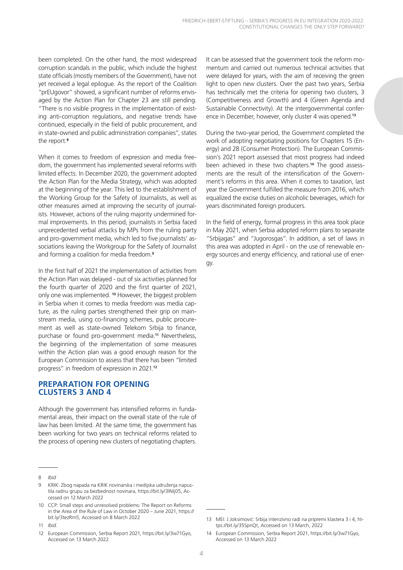been completed. On the other hand, the most widespread corruption scandals in the public, which include the highest state officials (mostly members of the Government), have not yet received a legal epilogue. As the report of the Coalition "prEUgovor" showed, a significant number of reforms envisaged by the Action Plan for Chapter 23 are still pending. "There is no visible progress in the implementation of existing anti-corruption regulations, and negative trends have continued, especially in the field of public procurement, and in state-owned and public administration companies", states the report.**<sup>8</sup>**

When it comes to freedom of expression and media freedom, the government has implemented several reforms with limited effects. In December 2020, the government adopted the Action Plan for the Media Strategy, which was adopted at the beginning of the year. This led to the establishment of the Working Group for the Safety of Journalists, as well as other measures aimed at improving the security of journalists. However, actions of the ruling majority undermined formal improvements. In this period, journalists in Serbia faced unprecedented verbal attacks by MPs from the ruling party and pro-government media, which led to five journalists' associations leaving the Workgroup for the Safety of Journalist and forming a coalition for media freedom.**<sup>9</sup>**

In the first half of 2021 the implementation of activities from the Action Plan was delayed - out of six activities planned for the fourth quarter of 2020 and the first quarter of 2021, only one was implemented. **10** However, the biggest problem in Serbia when it comes to media freedom was media capture, as the ruling parties strengthened their grip on mainstream media, using co-financing schemes, public procurement as well as state-owned Telekom Srbija to finance, purchase or found pro-government media.**11** Nevertheless, the beginning of the implementation of some measures within the Action plan was a good enough reason for the European Commission to assess that there has been "limited progress" in freedom of expression in 2021.**<sup>12</sup>**

#### **PREPARATION FOR OPENING CLUSTERS 3 AND 4**

Although the government has intensified reforms in fundamental areas, their impact on the overall state of the rule of law has been limited. At the same time, the government has been working for two years on technical reforms related to the process of opening new clusters of negotiating chapters.

It can be assessed that the government took the reform momentum and carried out numerous technical activities that were delayed for years, with the aim of receiving the green light to open new clusters. Over the past two years, Serbia has technically met the criteria for opening two clusters, 3 (Competitiveness and Growth) and 4 (Green Agenda and Sustainable Connectivity). At the intergovernmental conference in December, however, only cluster 4 was opened.**<sup>13</sup>**

During the two-year period, the Government completed the work of adopting negotiating positions for Chapters 15 (Energy) and 28 (Consumer Protection). The European Commission's 2021 report assessed that most progress had indeed been achieved in these two chapters.**14** The good assessments are the result of the intensification of the Government's reforms in this area. When it comes to taxation, last year the Government fulfilled the measure from 2016, which equalized the excise duties on alcoholic beverages, which for years discriminated foreign producers.

In the field of energy, formal progress in this area took place in May 2021, when Serbia adopted reform plans to separate "Srbijagas" and "Jugorosgas". In addition, a set of laws in this area was adopted in April - on the use of renewable energy sources and energy efficiency, and rational use of energy.

<sup>8</sup> *Ibid*

<sup>9</sup> KRIK: Zbog napada na KRIK novinarska i medijska udruženja napustila radnu grupu za bezbednost novinara, https://bit.ly/3INIj05, Accessed on 12 March 2022

<sup>10</sup> CCP: Small steps and unresolved problems: The Report on Reforms in the Area of the Rule of Law in October 2020 – June 2021, https:// bit.ly/3tezRm5, Accessed on 8 March 2022

<sup>11</sup> *Ibid.*

<sup>12</sup> European Commission, Serbia Report 2021, https://bit.ly/3w71Gyo, Accessed on 13 March 2022

<sup>13</sup> MEI: J.Joksimović: Srbija intenzivno radi na pripremi klastera 3 i 4, https://bit.ly/35SpnQt, Accessed on 13 March, 2022

<sup>14</sup> European Commission, Serbia Report 2021, https://bit.ly/3w71Gyo, Accessed on 13 March 2022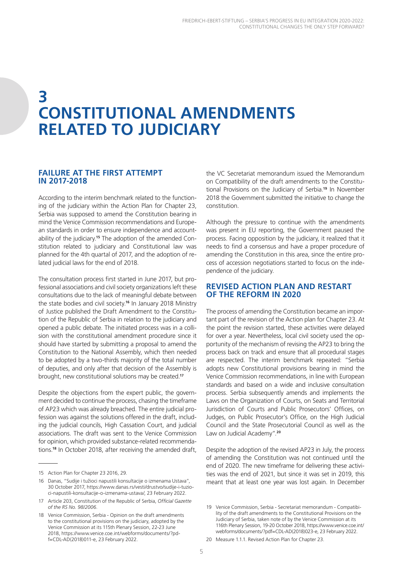## **3 CONSTITUTIONAL AMENDMENTS RELATED TO JUDICIARY**

#### **FAILURE AT THE FIRST ATTEMPT IN 2017-2018**

According to the interim benchmark related to the functioning of the judiciary within the Action Plan for Chapter 23, Serbia was supposed to amend the Constitution bearing in mind the Venice Commission recommendations and European standards in order to ensure independence and accountability of the judiciary.**15** The adoption of the amended Constitution related to judiciary and Constitutional law was planned for the 4th quartal of 2017, and the adoption of related judicial laws for the end of 2018.

The consultation process first started in June 2017, but professional associations and civil society organizations left these consultations due to the lack of meaningful debate between the state bodies and civil society.**16** In January 2018 Ministry of Justice published the Draft Amendment to the Constitution of the Republic of Serbia in relation to the judiciary and opened a public debate. The initiated process was in a collision with the constitutional amendment procedure since it should have started by submitting a proposal to amend the Constitution to the National Assembly, which then needed to be adopted by a two-thirds majority of the total number of deputies, and only after that decision of the Assembly is brought, new constitutional solutions may be created.**<sup>17</sup>**

Despite the objections from the expert public, the government decided to continue the process, chasing the timeframe of AP23 which was already breached. The entire judicial profession was against the solutions offered in the draft, including the judicial councils, High Cassation Court, and judicial associations. The draft was sent to the Venice Commission for opinion, which provided substance-related recommendations.**18** In October 2018, after receiving the amended draft,

the VC Secretariat memorandum issued the Memorandum on Compatibility of the draft amendments to the Constitutional Provisions on the Judiciary of Serbia.**19** In November 2018 the Government submitted the initiative to change the constitution.

Although the pressure to continue with the amendments was present in EU reporting, the Government paused the process. Facing opposition by the judiciary, it realized that it needs to find a consensus and have a proper procedure of amending the Constitution in this area, since the entire process of accession negotiations started to focus on the independence of the judiciary.

#### **REVISED ACTION PLAN AND RESTART OF THE REFORM IN 2020**

The process of amending the Constitution became an important part of the revision of the Action plan for Chapter 23. At the point the revision started, these activities were delayed for over a year. Nevertheless, local civil society used the opportunity of the mechanism of revising the AP23 to bring the process back on track and ensure that all procedural stages are respected. The interim benchmark repeated: "Serbia adopts new Constitutional provisions bearing in mind the Venice Commission recommendations, in line with European standards and based on a wide and inclusive consultation process. Serbia subsequently amends and implements the Laws on the Organization of Courts, on Seats and Territorial Jurisdiction of Courts and Public Prosecutors' Offices, on Judges, on Public Prosecutor's Office, on the High Judicial Council and the State Prosecutorial Council as well as the Law on Judicial Academy".**<sup>20</sup>**

Despite the adoption of the revised AP23 in July, the process of amending the Constitution was not continued until the end of 2020. The new timeframe for delivering these activities was the end of 2021, but since it was set in 2019, this meant that at least one year was lost again. In December

<sup>15</sup> Action Plan for Chapter 23 2016, 29.

<sup>16</sup> Danas, "Sudije i tužioci napustili konsultacije o izmenama Ustava", 30 October 2017, https://www.danas.rs/vesti/drustvo/sudije-i-tuzioci-napustili-konsultacije-o-izmenama-ustava/, 23 February 2022.

<sup>17</sup> Article 203, Constitution of the Republic of Serbia, *Official Gazette of the RS No. 98/2006*.

<sup>18</sup> Venice Commission, Serbia - Opinion on the draft amendments to the constitutional provisions on the judiciary, adopted by the Venice Commission at its 115th Plenary Session, 22-23 June 2018, https://www.venice.coe.int/webforms/documents/?pdf=CDL-AD(2018)011-e, 23 February 2022.

<sup>19</sup> Venice Commission, Serbia - Secretariat memorandum - Compatibility of the draft amendments to the Constitutional Provisions on the Judiciary of Serbia, taken note of by the Venice Commission at its 116th Plenary Session, 19-20 October 2018, https://www.venice.coe.int/ webforms/documents/?pdf=CDL-AD(2018)023-e, 23 February 2022.

<sup>20</sup> Measure 1.1.1. Revised Action Plan for Chapter 23.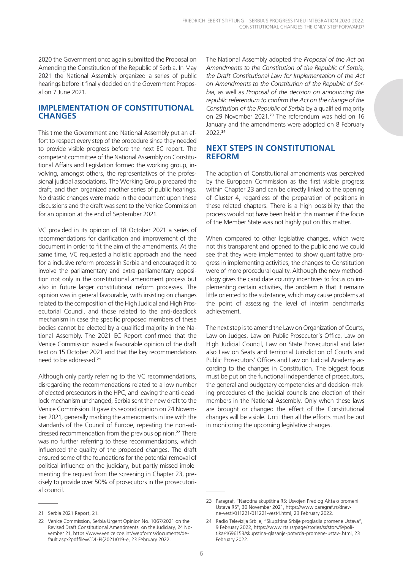2020 the Government once again submitted the Proposal on Amending the Constitution of the Republic of Serbia. In May 2021 the National Assembly organized a series of public hearings before it finally decided on the Government Proposal on 7 June 2021.

#### **IMPLEMENTATION OF CONSTITUTIONAL CHANGES**

This time the Government and National Assembly put an effort to respect every step of the procedure since they needed to provide visible progress before the next EC report. The competent committee of the National Assembly on Constitutional Affairs and Legislation formed the working group, involving, amongst others, the representatives of the professional judicial associations. The Working Group prepared the draft, and then organized another series of public hearings. No drastic changes were made in the document upon these discussions and the draft was sent to the Venice Commission for an opinion at the end of September 2021.

VC provided in its opinion of 18 October 2021 a series of recommendations for clarification and improvement of the document in order to fit the aim of the amendments. At the same time, VC requested a holistic approach and the need for a inclusive reform process in Serbia and encouraged it to involve the parliamentary and extra-parliamentary opposition not only in the constitutional amendment process but also in future larger constitutional reform processes. The opinion was in general favourable, with insisting on changes related to the composition of the High Judicial and High Prosecutorial Council, and those related to the anti-deadlock mechanism in case the specific proposed members of these bodies cannot be elected by a qualified majority in the National Assembly. The 2021 EC Report confirmed that the Venice Commission issued a favourable opinion of the draft text on 15 October 2021 and that the key recommendations need to be addressed.**<sup>21</sup>**

Although only partly referring to the VC recommendations, disregarding the recommendations related to a low number of elected prosecutors in the HPC, and leaving the anti-deadlock mechanism unchanged, Serbia sent the new draft to the Venice Commission. It gave its second opinion on 24 November 2021, generally marking the amendments in line with the standards of the Council of Europe, repeating the non-addressed recommendation from the previous opinion.**22** There was no further referring to these recommendations, which influenced the quality of the proposed changes. The draft ensured some of the foundations for the potential removal of political influence on the judiciary, but partly missed implementing the request from the screening in Chapter 23, precisely to provide over 50% of prosecutors in the prosecutorial council.

The National Assembly adopted the *Proposal of the Act on Amendments to the Constitution of the Republic of Serbia, the Draft Constitutional Law for Implementation of the Act on Amendments to the Constitution of the Republic of Serbia*, as well as *Proposal of the decision on announcing the republic referendum to confirm the Act on the change of the Constitution of the Republic of Serbia* by a qualified majority on 29 November 2021.**23** The referendum was held on 16 January and the amendments were adopted on 8 February 2022.**<sup>24</sup>**

#### **NEXT STEPS IN CONSTITUTIONAL REFORM**

The adoption of Constitutional amendments was perceived by the European Commission as the first visible progress within Chapter 23 and can be directly linked to the opening of Cluster 4, regardless of the preparation of positions in these related chapters. There is a high possibility that the process would not have been held in this manner if the focus of the Member State was not highly put on this matter.

When compared to other legislative changes, which were not this transparent and opened to the public and we could see that they were implemented to show quantitative progress in implementing activities, the changes to Constitution were of more procedural quality. Although the new methodology gives the candidate country incentives to focus on implementing certain activities, the problem is that it remains little oriented to the substance, which may cause problems at the point of assessing the level of interim benchmarks achievement.

The next step is to amend the Law on Organization of Courts, Law on Judges, Law on Public Prosecutor's Office, Law on High Judicial Council, Law on State Prosecutorial and later also Law on Seats and territorial Jurisdiction of Courts and Public Prosecutors' Offices and Law on Judicial Academy according to the changes in Constitution. The biggest focus must be put on the functional independence of prosecutors, the general and budgetary competencies and decision-making procedures of the judicial councils and election of their members in the National Assembly. Only when these laws are brought or changed the effect of the Constitutional changes will be visible. Until then all the efforts must be put in monitoring the upcoming legislative changes.

<sup>21</sup> Serbia 2021 Report, 21.

<sup>22</sup> Venice Commission, Serbia Urgent Opinion No. 1067/2021 on the Revised Draft Constitutional Amendments on the Judiciary, 24 November 21, https://www.venice.coe.int/webforms/documents/default.aspx?pdffile=CDL-PI(2021)019-e, 23 February 2022.

<sup>23</sup> Paragraf, "Narodna skupština RS: Usvojen Predlog Akta o promeni Ustava RS", 30 November 2021, https://www.paragraf.rs/dnevne-vesti/011221/011221-vest4.html, 23 February 2022.

<sup>24</sup> Radio Televizija Srbije, "Skupština Srbije proglasila promene Ustava", 9 February 2022, https://www.rts.rs/page/stories/sr/story/9/politika/4696153/skupstina-glasanje-potvrda-promene-ustav-.html, 23 February 2022.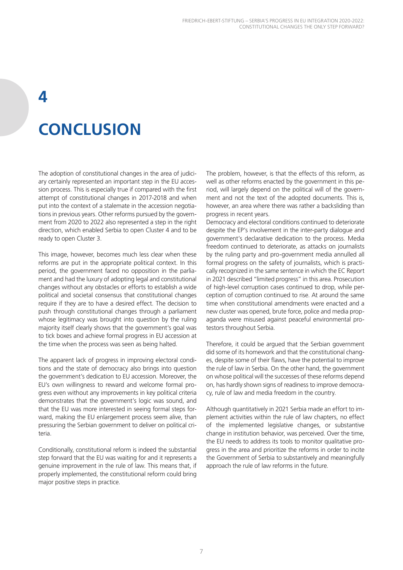## **4 CONCLUSION**

The adoption of constitutional changes in the area of judiciary certainly represented an important step in the EU accession process. This is especially true if compared with the first attempt of constitutional changes in 2017-2018 and when put into the context of a stalemate in the accession negotiations in previous years. Other reforms pursued by the government from 2020 to 2022 also represented a step in the right direction, which enabled Serbia to open Cluster 4 and to be ready to open Cluster 3.

This image, however, becomes much less clear when these reforms are put in the appropriate political context. In this period, the government faced no opposition in the parliament and had the luxury of adopting legal and constitutional changes without any obstacles or efforts to establish a wide political and societal consensus that constitutional changes require if they are to have a desired effect. The decision to push through constitutional changes through a parliament whose legitimacy was brought into question by the ruling majority itself clearly shows that the government's goal was to tick boxes and achieve formal progress in EU accession at the time when the process was seen as being halted.

The apparent lack of progress in improving electoral conditions and the state of democracy also brings into question the government's dedication to EU accession. Moreover, the EU's own willingness to reward and welcome formal progress even without any improvements in key political criteria demonstrates that the government's logic was sound, and that the EU was more interested in seeing formal steps forward, making the EU enlargement process seem alive, than pressuring the Serbian government to deliver on political criteria.

Conditionally, constitutional reform is indeed the substantial step forward that the EU was waiting for and it represents a genuine improvement in the rule of law. This means that, if properly implemented, the constitutional reform could bring major positive steps in practice.

The problem, however, is that the effects of this reform, as well as other reforms enacted by the government in this period, will largely depend on the political will of the government and not the text of the adopted documents. This is, however, an area where there was rather a backsliding than progress in recent years.

Democracy and electoral conditions continued to deteriorate despite the EP's involvement in the inter-party dialogue and government's declarative dedication to the process. Media freedom continued to deteriorate, as attacks on journalists by the ruling party and pro-government media annulled all formal progress on the safety of journalists, which is practically recognized in the same sentence in which the EC Report in 2021 described "limited progress" in this area. Prosecution of high-level corruption cases continued to drop, while perception of corruption continued to rise. At around the same time when constitutional amendments were enacted and a new cluster was opened, brute force, police and media propaganda were misused against peaceful environmental protestors throughout Serbia.

Therefore, it could be argued that the Serbian government did some of its homework and that the constitutional changes, despite some of their flaws, have the potential to improve the rule of law in Serbia. On the other hand, the government on whose political will the successes of these reforms depend on, has hardly shown signs of readiness to improve democracy, rule of law and media freedom in the country.

Although quantitatively in 2021 Serbia made an effort to implement activities within the rule of law chapters, no effect of the implemented legislative changes, or substantive change in institution behavior, was perceived. Over the time, the EU needs to address its tools to monitor qualitative progress in the area and prioritize the reforms in order to incite the Government of Serbia to substantively and meaningfully approach the rule of law reforms in the future.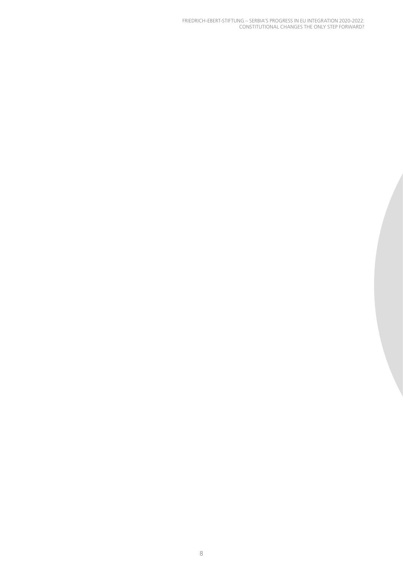FRIEDRICH-EBERT-STIFTUNG – SERBIA'S PROGRESS IN EU INTEGRATION 2020-2022: CONSTITUTIONAL CHANGES THE ONLY STEP FORWARD?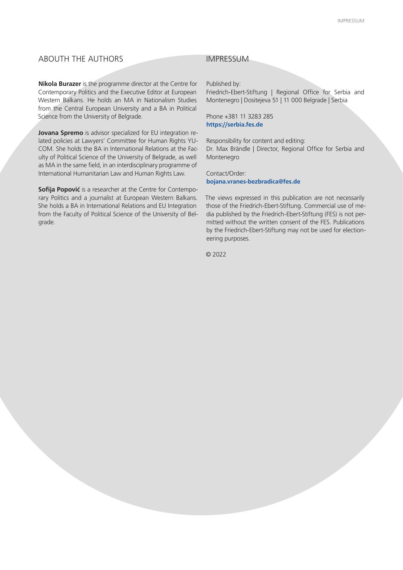#### ABOUTH THE AUTHORS IMPRESSUM

**Nikola Burazer** is the programme director at the Centre for Contemporary Politics and the Executive Editor at European Western Balkans. He holds an MA in Nationalism Studies from the Central European University and a BA in Political Science from the University of Belgrade.

**Jovana Spremo** is advisor specialized for EU integration related policies at Lawyers' Committee for Human Rights YU-COM. She holds the BA in International Relations at the Faculty of Political Science of the University of Belgrade, as well as MA in the same field, in an interdisciplinary programme of International Humanitarian Law and Human Rights Law.

**Sofija Popović** is a researcher at the Centre for Contemporary Politics and a journalist at European Western Balkans. She holds a BA in International Relations and EU Integration from the Faculty of Political Science of the University of Belgrade.

Published by:

Friedrich-Ebert-Stiftung | Regional Office for Serbia and Montenegro | Dositejeva 51 | 11 000 Belgrade | Serbia

Phone +381 11 3283 285 **https://serbia.fes.de**

Responsibility for content and editing: Dr. Max Brändle | Director, Regional Office for Serbia and Montenegro

Contact/Order: **bojana.vranes-bezbradica@fes.de**

The views expressed in this publication are not necessarily those of the Friedrich-Ebert-Stiftung. Commercial use of media published by the Friedrich-Ebert-Stiftung (FES) is not permitted without the written consent of the FES. Publications by the Friedrich-Ebert-Stiftung may not be used for electioneering purposes.

© 2022